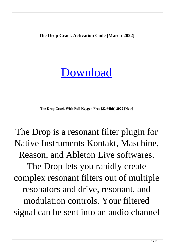**The Drop Crack Activation Code [March-2022]**

## [Download](http://evacdir.com/cookery/kefal/?hacking=/VGhlIERyb3AVGh/ZG93bmxvYWR8VWI3WTNwcGZId3hOalUyTURJeE1qQTJmSHd5TlRrd2ZId29UU2tnVjI5eVpIQnlaWE56SUZ0WVRVeFNVRU1nVmpJZ1VFUkdYUQ/hints/inapplicable/)

**The Drop Crack With Full Keygen Free [32|64bit] 2022 [New]**

The Drop is a resonant filter plugin for Native Instruments Kontakt, Maschine, Reason, and Ableton Live softwares. The Drop lets you rapidly create complex resonant filters out of multiple resonators and drive, resonant, and modulation controls. Your filtered signal can be sent into an audio channel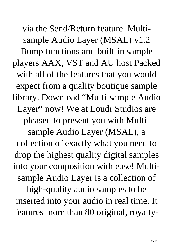via the Send/Return feature. Multisample Audio Layer (MSAL) v1.2 Bump functions and built-in sample players AAX, VST and AU host Packed with all of the features that you would expect from a quality boutique sample library. Download "Multi-sample Audio Layer" now! We at Loudr Studios are pleased to present you with Multisample Audio Layer (MSAL), a collection of exactly what you need to drop the highest quality digital samples into your composition with ease! Multisample Audio Layer is a collection of

high-quality audio samples to be inserted into your audio in real time. It features more than 80 original, royalty-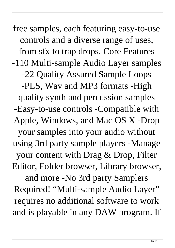free samples, each featuring easy-to-use controls and a diverse range of uses, from sfx to trap drops. Core Features -110 Multi-sample Audio Layer samples -22 Quality Assured Sample Loops -PLS, Wav and MP3 formats -High quality synth and percussion samples -Easy-to-use controls -Compatible with Apple, Windows, and Mac OS X -Drop your samples into your audio without using 3rd party sample players -Manage your content with Drag & Drop, Filter Editor, Folder browser, Library browser, and more -No 3rd party Samplers Required! "Multi-sample Audio Layer" requires no additional software to work and is playable in any DAW program. If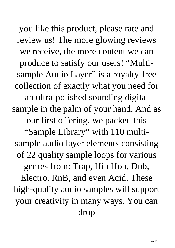you like this product, please rate and review us! The more glowing reviews we receive, the more content we can produce to satisfy our users! "Multisample Audio Layer" is a royalty-free collection of exactly what you need for an ultra-polished sounding digital sample in the palm of your hand. And as our first offering, we packed this "Sample Library" with 110 multisample audio layer elements consisting of 22 quality sample loops for various genres from: Trap, Hip Hop, Dnb, Electro, RnB, and even Acid. These high-quality audio samples will support your creativity in many ways. You can drop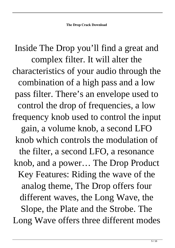Inside The Drop you'll find a great and complex filter. It will alter the characteristics of your audio through the combination of a high pass and a low pass filter. There's an envelope used to control the drop of frequencies, a low frequency knob used to control the input gain, a volume knob, a second LFO knob which controls the modulation of the filter, a second LFO, a resonance knob, and a power… The Drop Product Key Features: Riding the wave of the analog theme, The Drop offers four different waves, the Long Wave, the Slope, the Plate and the Strobe. The Long Wave offers three different modes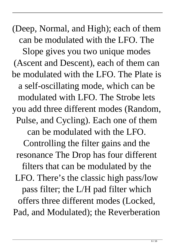(Deep, Normal, and High); each of them can be modulated with the LFO. The Slope gives you two unique modes (Ascent and Descent), each of them can be modulated with the LFO. The Plate is a self-oscillating mode, which can be modulated with LFO. The Strobe lets you add three different modes (Random, Pulse, and Cycling). Each one of them can be modulated with the LFO. Controlling the filter gains and the resonance The Drop has four different filters that can be modulated by the LFO. There's the classic high pass/low pass filter; the L/H pad filter which offers three different modes (Locked, Pad, and Modulated); the Reverberation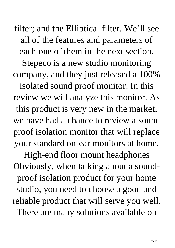filter; and the Elliptical filter. We'll see all of the features and parameters of each one of them in the next section. Stepeco is a new studio monitoring company, and they just released a 100% isolated sound proof monitor. In this review we will analyze this monitor. As this product is very new in the market, we have had a chance to review a sound proof isolation monitor that will replace your standard on-ear monitors at home. High-end floor mount headphones Obviously, when talking about a soundproof isolation product for your home studio, you need to choose a good and reliable product that will serve you well. There are many solutions available on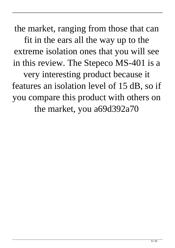the market, ranging from those that can fit in the ears all the way up to the extreme isolation ones that you will see in this review. The Stepeco MS-401 is a very interesting product because it features an isolation level of 15 dB, so if you compare this product with others on the market, you a69d392a70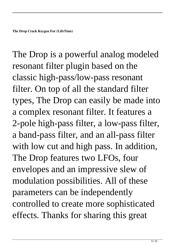The Drop is a powerful analog modeled resonant filter plugin based on the classic high-pass/low-pass resonant filter. On top of all the standard filter types, The Drop can easily be made into a complex resonant filter. It features a 2-pole high-pass filter, a low-pass filter, a band-pass filter, and an all-pass filter with low cut and high pass. In addition, The Drop features two LFOs, four envelopes and an impressive slew of modulation possibilities. All of these parameters can be independently controlled to create more sophisticated effects. Thanks for sharing this great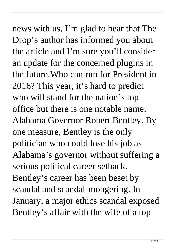news with us. I'm glad to hear that The Drop's author has informed you about the article and I'm sure you'll consider an update for the concerned plugins in the future.Who can run for President in 2016? This year, it's hard to predict who will stand for the nation's top office but there is one notable name: Alabama Governor Robert Bentley. By one measure, Bentley is the only politician who could lose his job as Alabama's governor without suffering a serious political career setback. Bentley's career has been beset by scandal and scandal-mongering. In January, a major ethics scandal exposed Bentley's affair with the wife of a top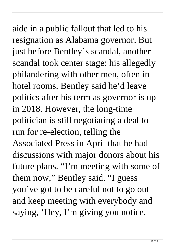### aide in a public fallout that led to his resignation as Alabama governor. But just before Bentley's scandal, another scandal took center stage: his allegedly philandering with other men, often in hotel rooms. Bentley said he'd leave politics after his term as governor is up in 2018. However, the long-time politician is still negotiating a deal to run for re-election, telling the Associated Press in April that he had discussions with major donors about his future plans. "I'm meeting with some of them now," Bentley said. "I guess you've got to be careful not to go out and keep meeting with everybody and saying, 'Hey, I'm giving you notice.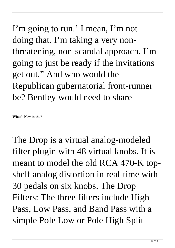I'm going to run.' I mean, I'm not doing that. I'm taking a very nonthreatening, non-scandal approach. I'm going to just be ready if the invitations get out." And who would the Republican gubernatorial front-runner be? Bentley would need to share

**What's New in the?**

The Drop is a virtual analog-modeled filter plugin with 48 virtual knobs. It is meant to model the old RCA 470-K topshelf analog distortion in real-time with 30 pedals on six knobs. The Drop Filters: The three filters include High Pass, Low Pass, and Band Pass with a simple Pole Low or Pole High Split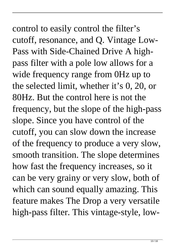# control to easily control the filter's cutoff, resonance, and Q. Vintage Low-

Pass with Side-Chained Drive A highpass filter with a pole low allows for a wide frequency range from 0Hz up to the selected limit, whether it's 0, 20, or 80Hz. But the control here is not the frequency, but the slope of the high-pass slope. Since you have control of the cutoff, you can slow down the increase of the frequency to produce a very slow, smooth transition. The slope determines how fast the frequency increases, so it can be very grainy or very slow, both of which can sound equally amazing. This feature makes The Drop a very versatile high-pass filter. This vintage-style, low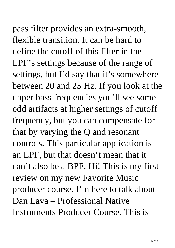pass filter provides an extra-smooth, flexible transition. It can be hard to define the cutoff of this filter in the LPF's settings because of the range of settings, but I'd say that it's somewhere between 20 and 25 Hz. If you look at the upper bass frequencies you'll see some odd artifacts at higher settings of cutoff frequency, but you can compensate for that by varying the Q and resonant controls. This particular application is an LPF, but that doesn't mean that it can't also be a BPF. Hi! This is my first review on my new Favorite Music producer course. I'm here to talk about Dan Lava – Professional Native Instruments Producer Course. This is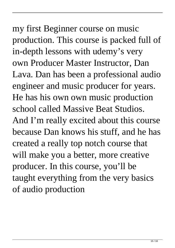### my first Beginner course on music production. This course is packed full of in-depth lessons with udemy's very own Producer Master Instructor, Dan Lava. Dan has been a professional audio engineer and music producer for years. He has his own own music production school called Massive Beat Studios. And I'm really excited about this course because Dan knows his stuff, and he has created a really top notch course that will make you a better, more creative producer. In this course, you'll be taught everything from the very basics of audio production